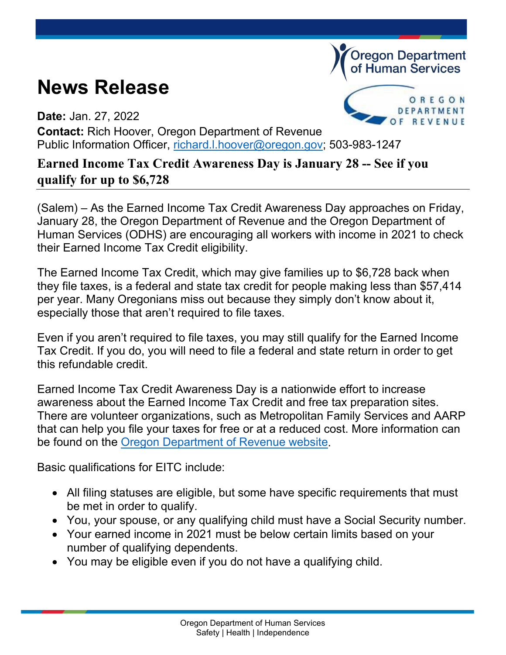## **News Release**



**Oregon Department** of Human Services

**Date:** Jan. 27, 2022 **Contact:** Rich Hoover, Oregon Department of Revenue Public Information Officer, [richard.l.hoover@oregon.gov;](mailto:richard.l.hoover@oregon.gov) 503-983-1247

## **Earned Income Tax Credit Awareness Day is January 28 -- See if you qualify for up to \$6,728**

(Salem) – As the Earned Income Tax Credit Awareness Day approaches on Friday, January 28, the Oregon Department of Revenue and the Oregon Department of Human Services (ODHS) are encouraging all workers with income in 2021 to check their Earned Income Tax Credit eligibility.

The Earned Income Tax Credit, which may give families up to \$6,728 back when they file taxes, is a federal and state tax credit for people making less than \$57,414 per year. Many Oregonians miss out because they simply don't know about it, especially those that aren't required to file taxes.

Even if you aren't required to file taxes, you may still qualify for the Earned Income Tax Credit. If you do, you will need to file a federal and state return in order to get this refundable credit.

Earned Income Tax Credit Awareness Day is a nationwide effort to increase awareness about the Earned Income Tax Credit and free tax preparation sites. There are volunteer organizations, such as Metropolitan Family Services and AARP that can help you file your taxes for free or at a reduced cost. More information can be found on the [Oregon Department of Revenue website.](https://www.oregon.gov/dor/programs/individuals/Pages/free-preparation.aspx)

Basic qualifications for EITC include:

- All filing statuses are eligible, but some have specific requirements that must be met in order to qualify.
- You, your spouse, or any qualifying child must have a Social Security number.
- Your earned income in 2021 must be below certain limits based on your number of qualifying dependents.
- You may be eligible even if you do not have a qualifying child.